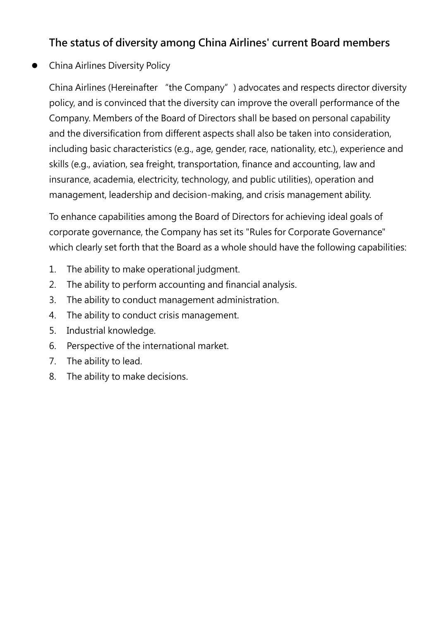## The status of diversity among China Airlines' current Board members

## China Airlines Diversity Policy

China Airlines (Hereinafter "the Company") advocates and respects director diversity policy, and is convinced that the diversity can improve the overall performance of the Company. Members of the Board of Directors shall be based on personal capability and the diversification from different aspects shall also be taken into consideration, including basic characteristics (e.g., age, gender, race, nationality, etc.), experience and skills (e.g., aviation, sea freight, transportation, finance and accounting, law and insurance, academia, electricity, technology, and public utilities), operation and management, leadership and decision-making, and crisis management ability.

To enhance capabilities among the Board of Directors for achieving ideal goals of corporate governance, the Company has set its "Rules for Corporate Governance" which clearly set forth that the Board as a whole should have the following capabilities:

- 1. The ability to make operational judgment.
- 2. The ability to perform accounting and financial analysis.
- 3. The ability to conduct management administration.
- 4. The ability to conduct crisis management.
- 5. Industrial knowledge.
- 6. Perspective of the international market.
- 7. The ability to lead.
- 8. The ability to make decisions.